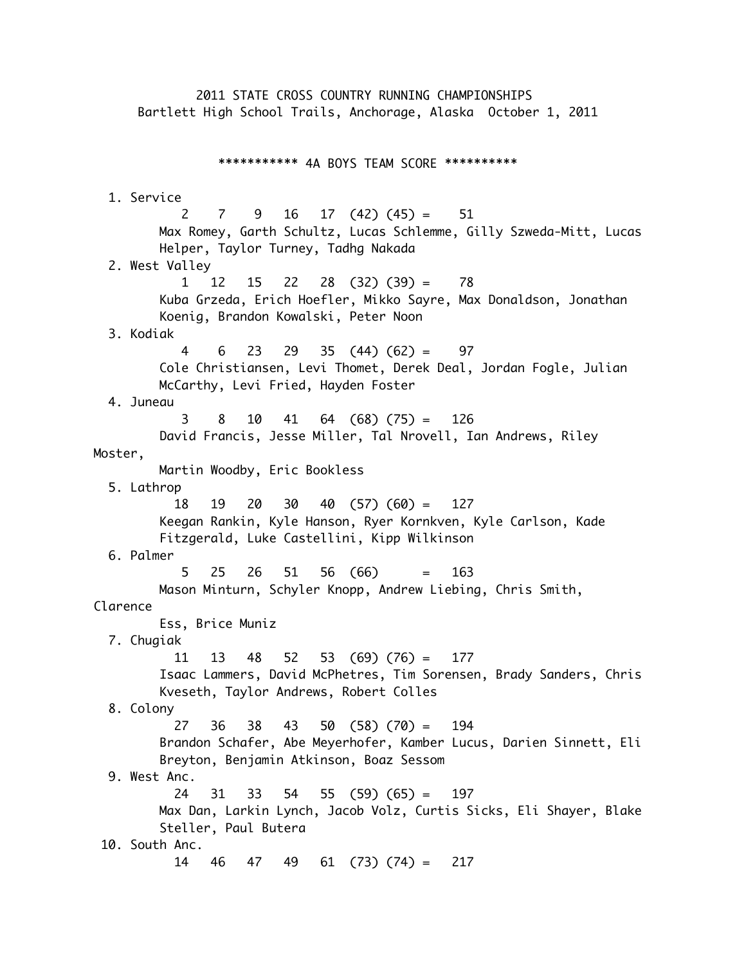2011 STATE CROSS COUNTRY RUNNING CHAMPIONSHIPS Bartlett High School Trails, Anchorage, Alaska October 1, 2011 \*\*\*\*\*\*\*\*\*\*\* 4A BOYS TEAM SCORE \*\*\*\*\*\*\*\*\*\* 1. Service 2 7 9 16 17 (42) (45) = 51 Max Romey, Garth Schultz, Lucas Schlemme, Gilly Szweda-Mitt, Lucas Helper, Taylor Turney, Tadhg Nakada 2. West Valley 1 12 15 22 28 (32) (39) = 78 Kuba Grzeda, Erich Hoefler, Mikko Sayre, Max Donaldson, Jonathan Koenig, Brandon Kowalski, Peter Noon 3. Kodiak 4 6 23 29 35 (44) (62) = 97 Cole Christiansen, Levi Thomet, Derek Deal, Jordan Fogle, Julian McCarthy, Levi Fried, Hayden Foster 4. Juneau 3 8 10 41 64 (68) (75) = 126 David Francis, Jesse Miller, Tal Nrovell, Ian Andrews, Riley Moster, Martin Woodby, Eric Bookless 5. Lathrop 18 19 20 30 40 (57) (60) = 127 Keegan Rankin, Kyle Hanson, Ryer Kornkven, Kyle Carlson, Kade Fitzgerald, Luke Castellini, Kipp Wilkinson 6. Palmer 5 25 26 51 56 (66) = 163 Mason Minturn, Schyler Knopp, Andrew Liebing, Chris Smith, Clarence Ess, Brice Muniz 7. Chugiak 11 13 48 52 53 (69) (76) = 177 Isaac Lammers, David McPhetres, Tim Sorensen, Brady Sanders, Chris Kveseth, Taylor Andrews, Robert Colles 8. Colony 27 36 38 43 50 (58) (70) = 194 Brandon Schafer, Abe Meyerhofer, Kamber Lucus, Darien Sinnett, Eli Breyton, Benjamin Atkinson, Boaz Sessom 9. West Anc. 24 31 33 54 55 (59) (65) = 197 Max Dan, Larkin Lynch, Jacob Volz, Curtis Sicks, Eli Shayer, Blake Steller, Paul Butera 10. South Anc. 14 46 47 49 61 (73) (74) = 217